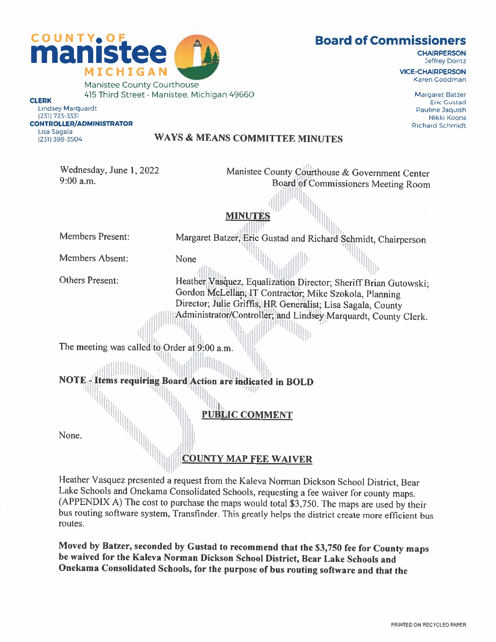## Board of Commissioners

**CHAIRPERSON** Jeffrey Dontz

VICE-CHAIRPERSON Karen Goodman

> Margaret Batzer Eric Gustad Pauline Jaquish Nikki Koons Richard Schmidt

CLERK Lindsey Marquardt (23]) 723-3331 CONTROLLER/ADMINISTRATOR Lisa Sagala (231) 398-3504

## WAYS & MEANS COMMITTEE MINUTES

Wednesday, June 1,2022 9:00 am.

Board of Commissioners Meeting Room **MINUTE** II

Manistee County Courthouse & Government Center

Members Present:

Margaret Batzer, Eric Gustad and Richard Schmidt, Chairperson

Members Absent: None

Others Present:

Heather Vasquez, Equalization Director; Sheriff Brian Gutowski; Gordon McLellan, IT Contractor; Mike Szokola, Planning Director; Julie Griffis, HR Generalist; Lisa Sagala, County Administrator/Controller; and Lindsey Marquardt, County Clerk.

The meeting was called to Order at 9:00 a.m.

NOTE . Items requiring Board Action are indicated in BOLD

PUBLIC COMMENT

lilililildi.<br>Lilililildi

None.

COUNTY MAP FEE WAIVER

Heather Vasquez presented a request from the Kaleva Norman Dickson School District, Bear Lake Schools and Onekama Consolidated Schools, requesting a fee waiver for county maps. (APPENDIX A) The cost to purchase the maps would total \$3,750. The maps are used by their bus routing software system, Transfinder. This greatly helps the district create more efficient bus routes.

Moved by Batzer, seconded by Gustad to recommend that the \$3,750 fee for County maps be waived for the Kaleva Norman Dickson School District, Bear Lake Schools and Onekama Consolidated Schools, for the purpose of bus routing software and that the

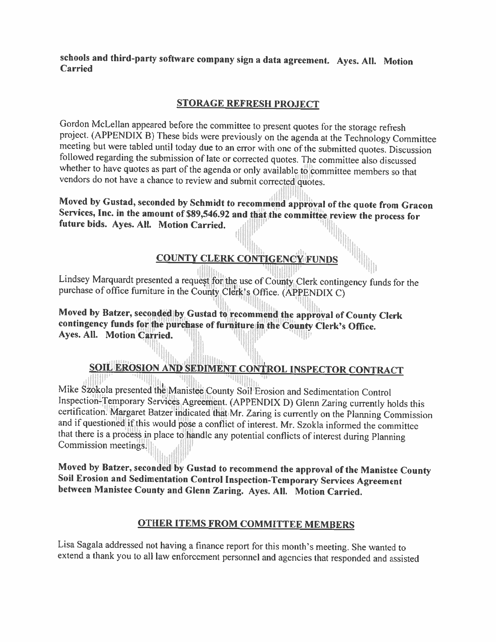schools and third-party software company sign <sup>a</sup> data agreement. Ayes. All. Motion Carried

## STORAGE REFRESH PROJECT

Gordon McLellan appeared before the committee to present quotes for the storage refresh<br>project. (APPENDIX B) These bids were previously on the agenda at the Technology Committee<br>meeting but were tabled until today due to whether to have quotes as part of the agenda or only available to committee members so that vendors do not have <sup>a</sup> chance to review and submit corrected quotes.

Moved by Gustad, seconded by Schmidt to recommend approval of the quote from Gracon Services, Inc. in the amount of \$89,546.92 and that the committee review the process for future bids. Ayes. All. Motion Carried.  $\frac{1}{\text{$ 

## COUNTY CLERK CONTIGENCY FUNDS

Lindsey Marquardt presented <sup>a</sup> request for the use of County Clerk contingency funds for the purchase of office furniture in the County Clerk's Office. (APPENDIX C)

Moved by Batzer, seconded by Gustad to recommend the approval of County Clerk contingency funds for the purchase of furniture in the County Clerk's Office. Ayes. All. Motion Carried. 41111

# SOIL EROSION AND SEDIMENT CONTROL INSPECTOR CONTRACT

Mike Szokola presented the Manistee County Soil Erosion and Sedimentation Control<br>Inspection-Temporary Services Agreement. (APPENDIX D) Glenn Zaring currently holds this certification. Margaret Batzer indicated that Mr. Zaring is currently on the Planning Commission<br>and if questioned if this would pose a conflict of interest. Mr. Szokla informed the committee that there is <sup>a</sup> process in <sup>p</sup>lace to handle any potential conflicts of interest during Planning Commission meetings.

Moved by Batzer, seconded by Gustad to recommend the approval of the Manistee County<br>Soil Erosion and Sedimentation Control Inspection-Temporary Services Agreement<br>between Manistee County and Glenn Zaring. Ayes. All. Motio

## OTHER ITEMS FROM COMMITTEE MEMBERS

Lisa Sagala addressed not having <sup>a</sup> finance report for this month's meeting. She wanted to extend <sup>a</sup> thank you to all law enforcement personnel and agencies that responded and assisted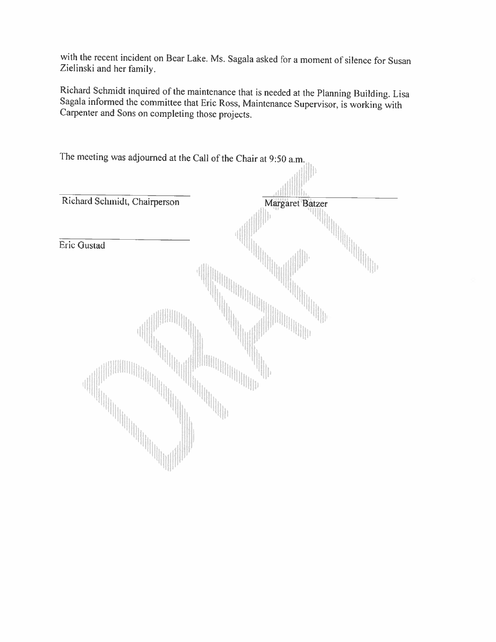with the recent incident on Bear Lake. Ms. Sagala asked for <sup>a</sup> moment of silence for Susan Zielinski and her family.

Richard Schmidt inquired of the maintenance that is needed at the Planning Building. Lisa Sagala informed the committee that Eric Ross. Maintenance Supervisor, is working with Carpenter and Sons on completing those projects.

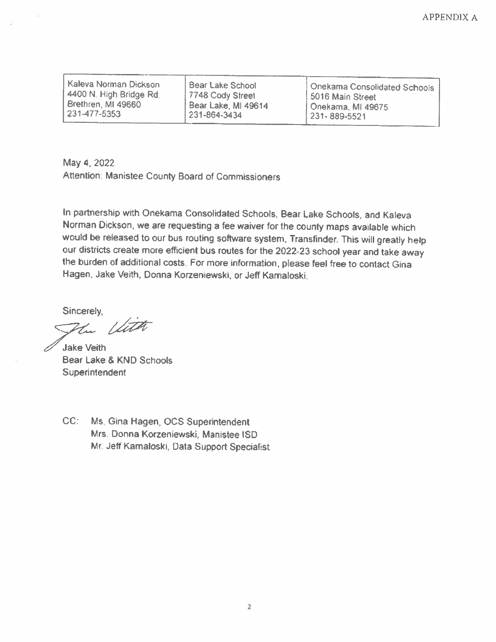| Kaleva Norman Dickson  | i Bear Lake School  | 1 Onekama Consolidated Schools 1 |
|------------------------|---------------------|----------------------------------|
| 4400 N. High Bridge Rd | 7748 Cody Street    | 15016 Main Street                |
| Brethren, MI 49660     | Bear Lake, MI 49614 | Onekama, MI 49675                |
| 231-477-5353           | 231-864-3434        | 231-889-5521                     |

May 4, 2022 Attention: Manistee County Board of Commissioners

In partnership with Onekama Consolidated Schools, Bear Lake Schools, and Kaleva Norman Dickson, we are requesting a fee waiver for the county maps available which would be released to our bus routing software system, Transfinder. This will greatly help our districts create more efficient bus routes for the 2022-23 school year and take away the burden of additional costs. For more information, <sup>p</sup>lease feel free to contact Gina Hagen, Jake Veith, Donna Korzeniewski, or Jeff Kamaloski.

Sincerely,

the United

**Jake Veith** Bear Lake & KND Schools **Superintendent** 

CC: Ms. Gina Hagen, OCS Superintendent Mrs. Donna Korzeniewski, Manistee ISD Mr. Jeff Kamaloski, Data Support Specialist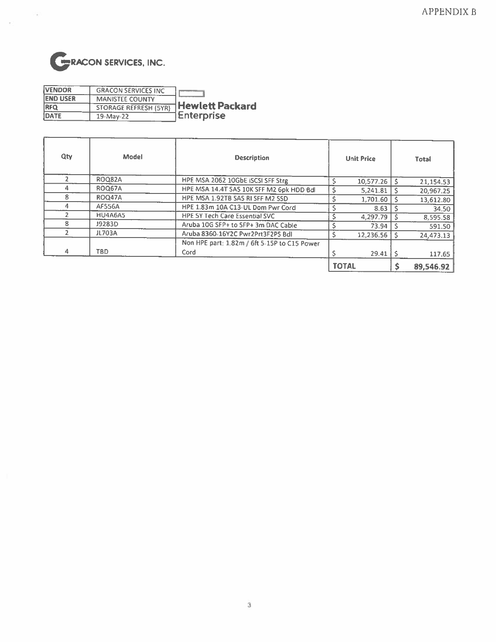

 $\overline{\mathcal{A}}$ 

| <b>VENDOR</b>   | <b>GRACON SERVICES INC</b>   |                        |
|-----------------|------------------------------|------------------------|
| <b>END USER</b> | <b>MANISTEE COUNTY</b>       |                        |
| <b>RFQ</b>      | <b>STORAGE REFRESH (5YR)</b> | <b>Hewlett Packard</b> |
| DATE            | $19-May-22$                  | <b>Enterprise</b>      |

| Qty | Model         | <b>Description</b>                           | <b>Unit Price</b>     | <b>Total</b> |
|-----|---------------|----------------------------------------------|-----------------------|--------------|
|     | <b>ROQ82A</b> | HPE MSA 2062 10GbE ISCSI SFF Strg            | $10,577.26$ S         | 21,154.53    |
| 4   | <b>ROQ67A</b> | HPE MSA 14.4T SAS 10K SFF M2 6pk HDD Bdl     | $5,241.81$   \$       | 20,967.25    |
| 8   | ROQ47A        | HPE MSA 1.92TB SAS RI SFF M2 SSD             | $1,701.60$ S          | 13,612.80    |
| 4   | <b>AF556A</b> | HPE 1.83m 10A C13-UL Dom Pwr Cord            | $8.63$ S              | 34.50        |
|     | HU4A6A5       | <b>HPE 5Y Tech Care Essential SVC</b>        | $4.297.79$ S          | 8,595.58     |
| 8   | J9283D        | Aruba 10G SFP+ to SFP+ 3m DAC Cable          | 73.94                 | 591.50       |
|     | JL703A        | Aruba 8360-16Y2C Pwr2Prt3F2PS Bdl            | $12.236.56$   \$      | 24,473.13    |
|     |               | Non HPE part: 1.82m / 6ft 5-15P to C15 Power |                       |              |
| 4   | TBD           | Cord                                         | $29.41$ $\frac{1}{5}$ | 117.65       |
|     |               |                                              | <b>TOTAL</b>          | 89,546.92    |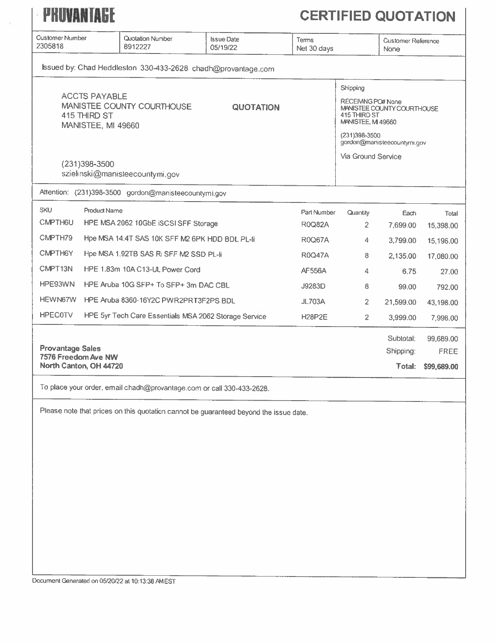| PHUVANTAGE                                                               |                                                                                                                                      |                               |                              |                                   | <b>CERTIFIED QUOTATION</b>       |                                                           |  |
|--------------------------------------------------------------------------|--------------------------------------------------------------------------------------------------------------------------------------|-------------------------------|------------------------------|-----------------------------------|----------------------------------|-----------------------------------------------------------|--|
| <b>Customer Number</b><br>2305818                                        | Quotation Number<br>8912227                                                                                                          | <b>Issue Date</b><br>05/19/22 | Terms<br>Net 30 days         | None                              |                                  | <b>Customer Reference</b>                                 |  |
|                                                                          | Issued by: Chad Heddleston 330-433-2628 chadh@provantage.com                                                                         |                               |                              |                                   |                                  |                                                           |  |
|                                                                          | <b>ACCTS PAYABLE</b><br>MANISTEE COUNTY COURTHOUSE<br><b>QUOTATION</b><br>415 THIRD ST<br><b>MANISTEE, MI 49660</b><br>(231)398-3500 |                               |                              |                                   |                                  | MANISTEE COUNTY COURTHOUSE<br>gordon@manisleecountymi.gov |  |
|                                                                          | szielinski@manisteecountymi.gov                                                                                                      |                               |                              |                                   |                                  |                                                           |  |
|                                                                          | Attention: (231)398-3500 gordon@manisteecountymi.gov                                                                                 |                               |                              |                                   |                                  |                                                           |  |
| <b>SKU</b><br>CMPTH6U                                                    | <b>Product Name</b><br>HPE MSA 2062 10GbE ISCSI SFF Storage                                                                          |                               | Part Number<br><b>R0Q82A</b> | <b>Quantity</b><br>$\overline{2}$ | Each<br>7,699.00                 | Total<br>15,398.00                                        |  |
| CMPTH79                                                                  | Hpe MSA 14.4T SAS 10K SFF M2 6PK HDD BDL PL-li                                                                                       |                               | <b>R0Q67A</b>                | 4                                 | 3,799.00                         | 15,196.00                                                 |  |
| CMPTH6Y                                                                  | Hpe MSA 1.92TB SAS Ri SFF M2 SSD PL-Ii                                                                                               |                               | <b>R0Q47A</b>                | 8                                 | 2,135.00                         | 17,080.00                                                 |  |
| CMPT13N                                                                  | HPE 1.83m 10A C13-UL Power Cord                                                                                                      |                               | <b>AF556A</b>                | 4                                 | 6.75                             | 27.00                                                     |  |
| HPE93WN                                                                  | HPE Aruba 10G SFP+ To SFP+ 3m DAC CBL                                                                                                |                               | J9283D                       | 8                                 | 99.00                            | 792.00                                                    |  |
| <b>HEWN67W</b>                                                           | HPE Aruba 8360-16Y2C PWR2PRT3F2PS BDL                                                                                                |                               | JL703A                       | $\overline{c}$                    | 21,599.00                        | 43,198.00                                                 |  |
| <b>HPEC0TV</b>                                                           | HPE 5yr Tech Care Essentials MSA 2062 Storage Service                                                                                |                               | <b>H28P2E</b>                | $\overline{2}$                    | 3,999.00                         | 7,998.00                                                  |  |
| <b>Provantage Sales</b><br>7576 Freedom Ave NW<br>North Canton, OH 44720 |                                                                                                                                      |                               |                              |                                   | Subtotal:<br>Shipping:<br>Total: | 99,689.00<br>FREE<br>\$99,689.00                          |  |
|                                                                          | To place your order, email chadh@provantage.com or call 330-433-2628.                                                                |                               |                              |                                   |                                  |                                                           |  |
|                                                                          | Please note that prices on this quotation cannot be guaranteed beyond the issue date.                                                |                               |                              |                                   |                                  |                                                           |  |

 $\langle \cdot \rangle$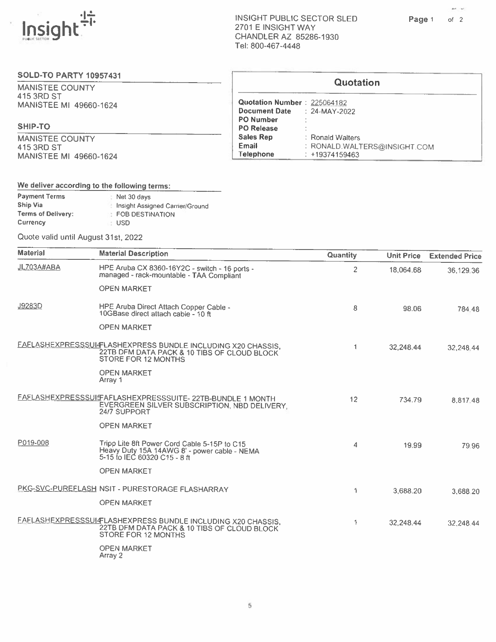

ſ

 $\mathcal{M}^{\text{c}}_{\text{c}}$  ,  $\mathcal{M}^{\text{c}}_{\text{c}}$ 

#### SOLD-TO PARTY 10957431

MANISTEE COUNTY 415 3RD ST MANISTEE MI 49660-1624

#### SHIP-TO

MANISTEE COUNTY 415 3RD ST MANISTEE MI 49660-1624

|                                    | <b>Quotation</b>             |
|------------------------------------|------------------------------|
| Quotation Number: 225064182        |                              |
| <b>Document Date</b> : 24-MAY-2022 |                              |
| <b>PO Number</b>                   |                              |
| <b>PO Release</b>                  |                              |
| <b>Sales Rep</b>                   | : Ronald Walters             |
| Email                              | : RONALD.WALTERS@INSIGHT.COM |
| Telephone                          | +19374159463                 |

### We deliver according to the following terms:

| <b>Payment Terms</b>      | Net 30 days                     |
|---------------------------|---------------------------------|
| Ship Via                  | Insight Assigned Carrier/Ground |
| <b>Terms of Delivery:</b> | <b>EDB DESTINATION</b>          |
| Currency                  | USD.                            |

Quote valid until August 31st, <sup>2022</sup>

| <b>Material</b> | <b>Material Description</b>                                                                                                        | Quantity       | <b>Unit Price</b> | <b>Extended Price</b> |
|-----------------|------------------------------------------------------------------------------------------------------------------------------------|----------------|-------------------|-----------------------|
| JL703A#ABA      | HPE Aruba CX 8360-16Y2C - switch - 16 ports -<br>managed - rack-mountable - TAA Compliant                                          | $\overline{2}$ | 18.064.68         | 36,129.36             |
|                 | <b>OPEN MARKET</b>                                                                                                                 |                |                   |                       |
| J9283D          | HPE Aruba Direct Attach Copper Cable -<br>10GBase direct attach cable - 10 ft                                                      | 8              | 98.06             | 784.48                |
|                 | <b>OPEN MARKET</b>                                                                                                                 |                |                   |                       |
|                 | FAFLASHEXPRESSSUI-FLASHEXPRESS BUNDLE INCLUDING X20 CHASSIS,<br>22TB DFM DATA PACK & 10 TIBS OF CLOUD BLOCK<br>STORE FOR 12 MONTHS | 1              | 32,248.44         | 32,248.44             |
|                 | <b>OPEN MARKET</b><br>Array 1                                                                                                      |                |                   |                       |
|                 | FAFLASHEXPRESSSUIFAFLASHEXPRESSSUITE-22TB-BUNDLE 1 MONTH<br>EVERGREEN SILVER SUBSCRIPTION, NBD DELIVERY;<br>24/7 SUPPORT           | 12             | 734.79            | 8,817.48              |
|                 | <b>OPEN MARKET</b>                                                                                                                 |                |                   |                       |
| P019-008        | Tripp Lite 8ft Power Cord Cable 5-15P to C15<br>Heavy Duty 15A 14AWG 8' - power cable - NEMA<br>5-15 to IEC 60320 C15 - 8 ft       | 4              | 19.99             | 79.96                 |
|                 | <b>OPEN MARKET</b>                                                                                                                 |                |                   |                       |
|                 | PKG-SVC-PUREFLASH NSIT - PURESTORAGE FLASHARRAY                                                                                    | 1              | 3,688.20          | 3,688.20              |
|                 | <b>OPEN MARKET</b>                                                                                                                 |                |                   |                       |
|                 | FAFLASHEXPRESSSUI4FLASHEXPRESS BUNDLE INCLUDING X20 CHASSIS,<br>22TB DFM DATA PACK & 10 TIBS OF CLOUD BLOCK<br>STORE FOR 12 MONTHS | 1              | 32,248.44         | 32.248.44             |
|                 | <b>OPEN MARKET</b><br>Array 2                                                                                                      |                |                   |                       |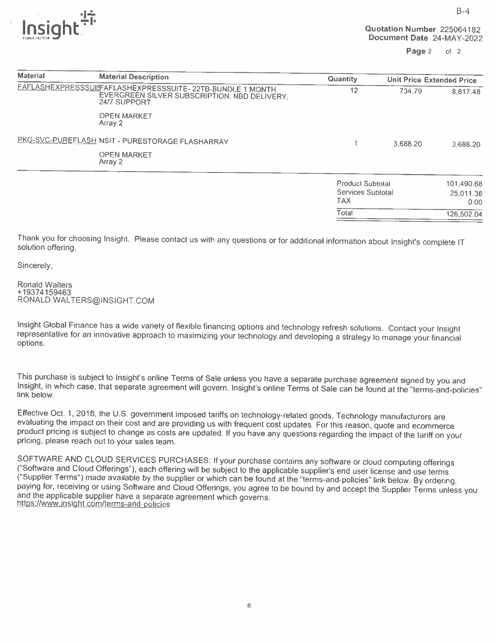$\overline{\text{nsial}}$ Document Date 24-MAY-2022



| <b>Material</b>                                 | <b>Material Description</b>                                                                                                     | Quantity                                                   | <b>Unit Price Extended Price</b> |                                 |
|-------------------------------------------------|---------------------------------------------------------------------------------------------------------------------------------|------------------------------------------------------------|----------------------------------|---------------------------------|
|                                                 | <b>FAFLASHEXPRESSSUIFAFLASHEXPRESSSUITE-22TB-BUNDLE 1 MONTH</b><br>EVERGREEN SILVER SUBSCRIPTION, NBD DELIVERY,<br>24/7 SUPPORT | 12                                                         | 734.79                           | 8,817.48                        |
|                                                 | <b>OPEN MARKET</b><br>Array 2                                                                                                   |                                                            |                                  |                                 |
| PKG-SVC-PUREFLASH NSIT - PURESTORAGE FLASHARRAY |                                                                                                                                 |                                                            | 3.688.20                         | 3,688.20                        |
|                                                 | <b>OPEN MARKET</b><br>Array 2                                                                                                   |                                                            |                                  |                                 |
|                                                 |                                                                                                                                 | <b>Product Subtotal</b><br>Services Subtotal<br><b>TAX</b> |                                  | 101,490.68<br>25,011.36<br>0.00 |
|                                                 |                                                                                                                                 | Total                                                      |                                  | 126,502.04                      |

Thank you for choosing Insight. Please contact us with any questions or for additional information about Insight's complete IT solution offering.

Sincerely,

Ronald Walters +19374159463 RONALD.WALTERS@INSIGHT.COM

Insight Global Finance has a wide variety of flexible financing options and technology refresh solutions. Contact your Insight representative for an innovative approach to maximizing your technology and developing a strate

This purchase is subject to Insight's online Terms of Sale unless you have a separate purchase agreement signed by you and<br>Insight, in which case, that separate agreement will govern. Insight's online Terms of Sale can be

Effective Oct. 1, 2018, the U.S. government imposed tariffs on technology-related goods. Technology manufacturers are evaluating the impact on their cost and are providing us with frequent cost updates. For this reason, qu

SOFTWARE AND CLOUD SERVICES PURCHASES: If your purchase contains any software or cloud computing offerings<br>("Software and Cloud Offerings"), each offering will be subject to the applicable supplier's end user license and u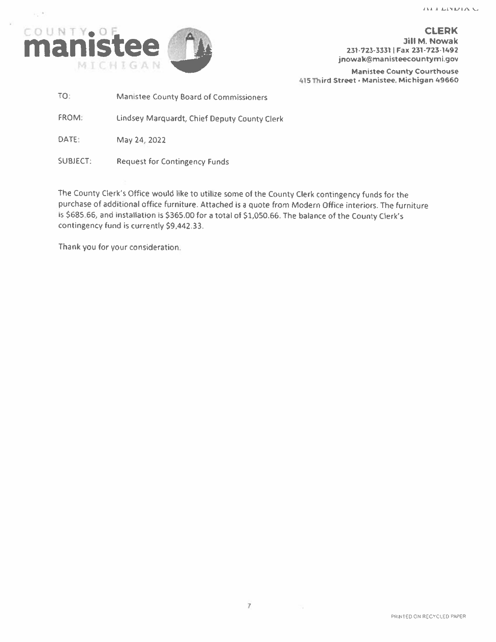

 $\sim 10^4$ 

Manistee County Courthouse 415 Third Street · Manistee. Michigan 49660

TO: Manistee County Board of Commissioners

FROM: Lindsey Marquardt, Chief Deputy County Clerk

DATE: May 24, 2022

SUBJECT: Request for Contingency Funds

The County Clerk's Office would like to utilize some of the County Clerk contingency funds for the purchase of additional office furniture. Attached is a quote from Modern Office interiors. The furniture is \$685.66, and installation is \$365.00 for <sup>a</sup> total ot \$1,050.66. The balance of the County Clerk's contingency fund is currently \$9,442.33.

Thank you for your consideration.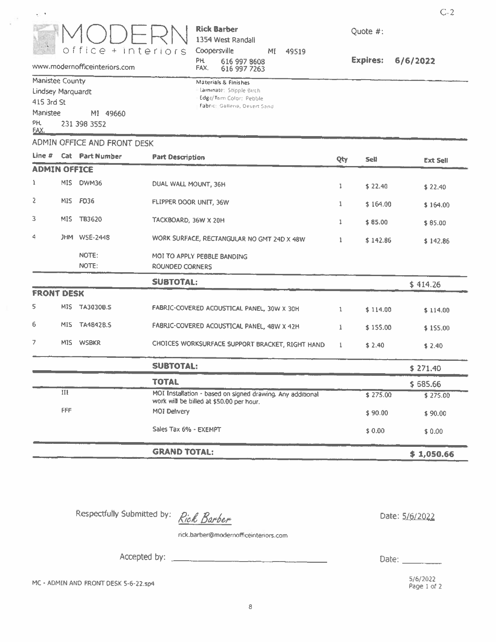

#### **Rick Barber** 1354 West Randall Coopersville MI 49519 616 997 8608<br>616 997 7263 PH.

FAX.

Materials & Finishes Laminate; Stipple Birch Edge/Trim Color: Pebble Fabrici Galleria, Desert Sand Quote #:

**Expires:**  $6/6/2022$   $C-2$ 

www.modernofficeinteriors.com

 $\mathbf{q} \in \mathcal{A}$ 

| Manistee County   |  |              |  |          |  |  |  |
|-------------------|--|--------------|--|----------|--|--|--|
| Lindsey Marquardt |  |              |  |          |  |  |  |
| 415 3rd St        |  |              |  |          |  |  |  |
| Manistee          |  |              |  | MI 49660 |  |  |  |
| PH.<br>FAX.       |  | 231 398 3552 |  |          |  |  |  |
|                   |  |              |  |          |  |  |  |

#### ADMIN OFFICE AND FRONT DESK

| Line $#$            |     | <b>Cat Part Number</b> | <b>Part Description</b>                                                                                | Qty          | Sell     | <b>Ext Sell</b> |
|---------------------|-----|------------------------|--------------------------------------------------------------------------------------------------------|--------------|----------|-----------------|
| <b>ADMIN OFFICE</b> |     |                        |                                                                                                        |              |          |                 |
| 1                   |     | MIS DWM36              | DUAL WALL MOUNT, 36H                                                                                   | 1            | \$22.40  | \$22.40         |
| 2                   |     | MIS FD36               | FLIPPER DOOR UNIT, 36W                                                                                 | 1            | \$164.00 | \$164.00        |
| 3                   |     | MIS TB3620             | TACKBOARD, 36W X 20H                                                                                   | 1            | \$85.00  | \$85.00         |
| 4                   |     | JHM WSE-2448           | WORK SURFACE, RECTANGULAR NO GMT 24D X 48W                                                             | $\mathbf{1}$ | \$142.86 | \$142.86        |
|                     |     | NOTE:<br>NOTE:         | MOI TO APPLY PEBBLE BANDING<br><b>ROUNDED CORNERS</b>                                                  |              |          |                 |
|                     |     |                        | <b>SUBTOTAL:</b>                                                                                       |              |          | \$414.26        |
| <b>FRONT DESK</b>   |     |                        |                                                                                                        |              |          |                 |
| 5                   |     | MIS TA3030B.S          | FABRIC-COVERED ACOUSTICAL PANEL, 30W X 30H                                                             | $\mathbf{1}$ | \$114.00 | \$114.00        |
| 6                   |     | MIS TA4842B.S          | FABRIC-COVERED ACOUSTICAL PANEL, 48W X 42H                                                             | 1.           | \$155.00 | \$155.00        |
| 7                   |     | MIS WSBKR              | CHOICES WORKSURFACE SUPPORT BRACKET, RIGHT HAND                                                        | $\mathbf{1}$ | \$2.40   | \$2.40          |
|                     |     |                        | <b>SUBTOTAL:</b>                                                                                       |              |          | \$271.40        |
|                     |     |                        | <b>TOTAL</b>                                                                                           |              |          | \$685.66        |
|                     | III |                        | MOI Installation - based on signed drawing. Any additional<br>work will be billed at \$50.00 per hour. |              | \$275.00 | \$275.00        |
|                     | FFF |                        | MOI Delivery                                                                                           |              | \$90.00  | \$90.00         |
|                     |     |                        | Sales Tax 6% - EXEMPT                                                                                  |              | \$0.00   | \$0.00          |
|                     |     |                        | <b>GRAND TOTAL:</b>                                                                                    |              |          | \$1,050,66      |

Respectfully Submitted by:

Rick Barber

<u> 1990 - Jan James James Barnett, ameri</u>kansk fotballs

Date: 5/6/2022

rick.barber@modernofficeinteriors.com

Accepted by:  $\_\_$ 

Date:  $\qquad \qquad$ 

MC - ADMIN AND FRONT DESK 5-6-22.sp4

 $5/6/2022$ Page 1 of 2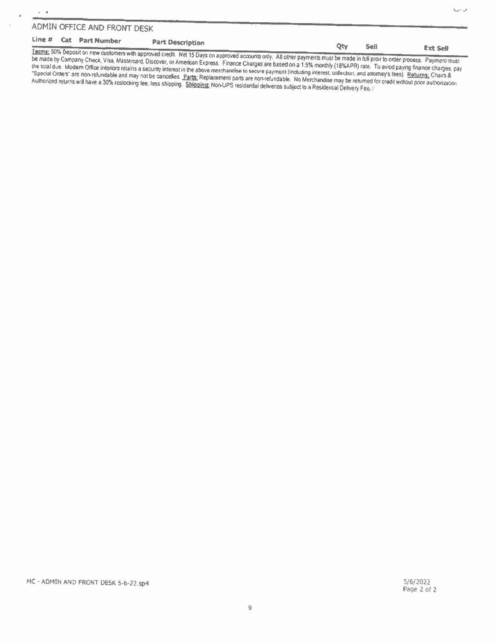$\alpha=0$ 

ł.

#### Line # Cat Part Number **Part Description** Qty Sell **Ext Sell**

Terms: 50% Deposit on new customers with approved credit. Net 15 Days on approved accounts only. All other payments must be made in full proir to order process. Payment must be made by Company Check, Visa, Mastercard, Discover, or American Express. Finance Charges are based on a 1.5% monthly (18%APR) rate. To aviod paying finance charges, pay the total due. Modem Office Interiors retains a security interest in the above merchandise to secure payment (including interest, collection, and attorney's fees). Returns: Chairs & "Special Orders" are non-refundable and may not be cancelled Parts: Replacement parts are non-refundable. No Merchandise may be returned for credit without phor authorization Authorized returns will have a 30% restocking fee, less shipping. Shipping: Non-UPS residential deliveries subject to a Residential Delivery Fee.

ن -ل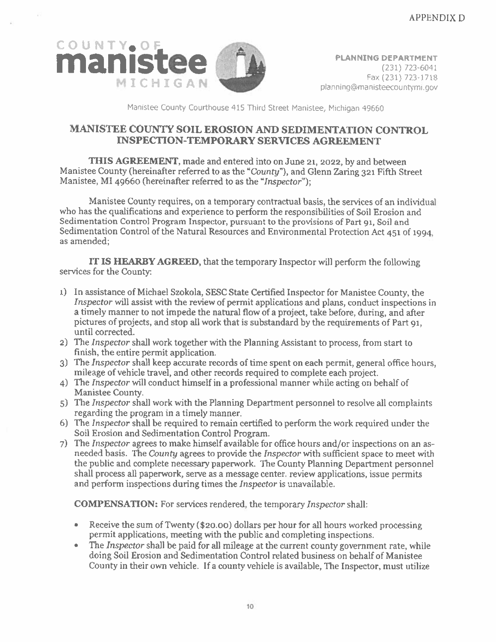

Manistee County Courthouse 415 Third Street Manistee, Michigan 49660

## MANISTEE COUNTY SOIL EROSION AND SEDIMENTATION CONTROL INSPECTION-TEMPORARY SERVICES AGREEMENT

THIS AGREEMENT, made and entered into on June 21, 2022, by and between Manistee County (hereinafter referred to as the "County"), and Glenn Zaring <sup>321</sup> Fifth Street Manistee, MI <sup>49660</sup> (hereinafter referred to as the "Inspector");

Manistee County requires, on <sup>a</sup> temporary contractual basis, the services of an individual who has the qualifications and experience to perform the responsibilities of Soil Erosion and Sedimentation Control Program Inspector, pursuan<sup>t</sup> to the provisions of Part 91, Soil and Sedimentation Control of the Natural Resources and Environmental Protection Act <sup>451</sup> of 1994, as amended;

IT IS HEARBY AGREED, that the temporary Inspector will perform the following services for the Countv

- 1) In assistance of Michael Szokola, SESC State Certified Inspector for Manistee County, the Inspector will assist with the review of permit applications and <sup>p</sup>lans, conduct inspections in <sup>a</sup> timely manner to not impede the natural flow of <sup>a</sup> project, take before, during, and after pictures of projects, and stop all work that is substandard by the requirements of Part 91, until corrected.
- 2) The Inspector shall work together with the Planning Assistant to process, from start to finish, the entire permit application.
- 3) The Inspector shall keep accurate records of time spen<sup>t</sup> on each permit, genera<sup>l</sup> office hours, mileage of vehicle travel, and other records required to complete each project.
- 4) The Inspector will conduct himself in <sup>a</sup> professional manner while acting on behalf of Manistee County.
- 5) The *Inspector* shall work with the Planning Department personnel to resolve all complaints regarding the program in <sup>a</sup> timely manner,
- 6) The Inspector shall be required to remain certified to perform the work required under the Soil Erosion and Sedimentation Control Program.
- 7) The Inspector agrees to make himself available for office hours and/or inspections on an asneeded basis. The County agrees to provide the Inspector with sufficient space to meet with the public and complete necessary paperwork. The County Planning Department personnel shall process all paperwork, serve as <sup>a</sup> message center. review applications, issue permits and perform inspections during times the Inspector is unavailable.

COMPENSATION: For services rendered, the temporary Inspector shall:

- Receive the sum of Twenty (\$20.00) dollars per hour for all hours worked processing permit applications, meeting with the public and completing inspections.
- The Inspector shall be paid for all mileage at the current county government rate, while doing Soil Erosion and Sedimentation Control related business on behalf of Manistee County in their own vehicle. If <sup>a</sup> county vehicle is available, The Inspector, must utilize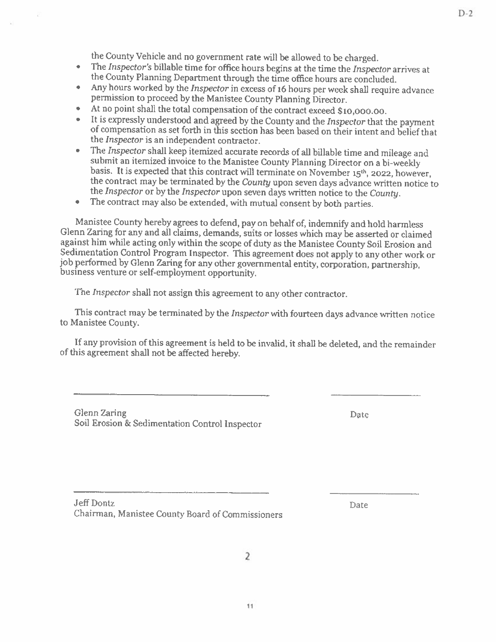- the County Vehicle and no government rate will be allowed to be charged.<br>The Inspector's billable time for office hours begins at the time the Inspector arrives at •the County Planning Department through the time office hours are concluded.
- •Any hours worked by the *Inspector* in excess of 16 hours per week shall require advance permission to proceed by the Manistee County Planning Director.
- •
- At no point shall the total compensation of the contract exceed \$10,000.00.<br>It is expressly understood and agreed by the County and the *Inspector* that the payment •of compensation as set forth in this section has been based on their intent and belief that the *Inspector* is an independent contractor.<br>The *Inspector* shall keep itemized accurate records of all billable time and mileage and
- •submit an itemized invoice to the Manistee County Planning Director on a bi-weekly basis. It is expected that this contract will terminate on November  $15<sup>th</sup>$ , 2022, however, the contract may be terminated by the *Cou* the Inspector or by the Inspector upon seven days wntten notice to the County.
- The contract may also be extended, with mutual consent by both parties.

Manistee County hereby agrees to defend, pay on behalf of, indemnify and hold harmless Glenn Zaring for any and all claims, demands, suits or losses which may be asserted or claimed Sedimentation Control Program Inspector. This agreement does not apply to any other work or job performed by Glenn Zaring for any other governmental entity, corporation, partnership, business venture or self-employment opp

The Inspector shall not assign this agreement to any other contractor.

This contract may be terminated by the Inspector with fourteen days advance written notice to Manistee County.

If any provision of this agreement is held to be invalid, it shall be deleted, and the remainder of this agreement shall not be affected hereby.

Glenn Zanng Date Soil Erosion & Sedimentation Control Inspector

Jeff Dontz Date Chairman, Manistee County Board of Commissioners